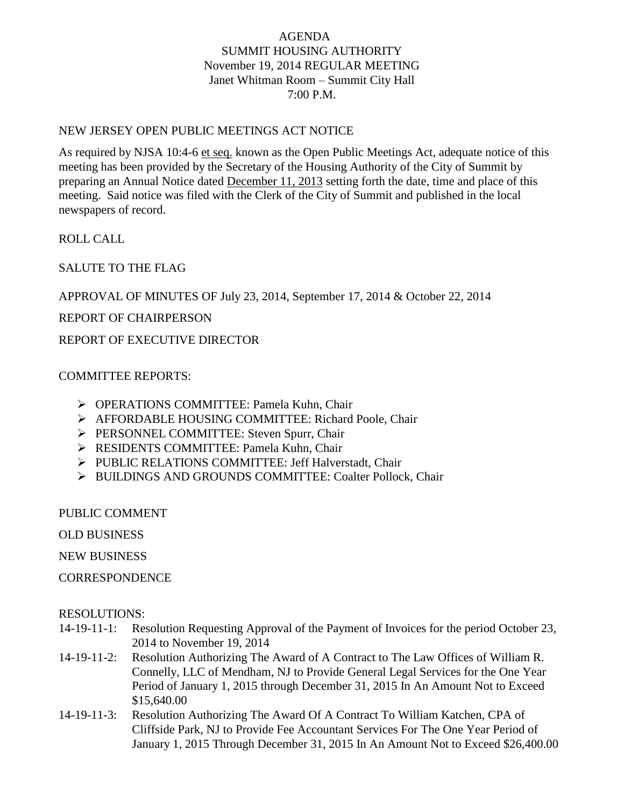## AGENDA SUMMIT HOUSING AUTHORITY November 19, 2014 REGULAR MEETING Janet Whitman Room – Summit City Hall 7:00 P.M.

## NEW JERSEY OPEN PUBLIC MEETINGS ACT NOTICE

As required by NJSA 10:4-6 et seq. known as the Open Public Meetings Act, adequate notice of this meeting has been provided by the Secretary of the Housing Authority of the City of Summit by preparing an Annual Notice dated December 11, 2013 setting forth the date, time and place of this meeting. Said notice was filed with the Clerk of the City of Summit and published in the local newspapers of record.

ROLL CALL

SALUTE TO THE FLAG

APPROVAL OF MINUTES OF July 23, 2014, September 17, 2014 & October 22, 2014

REPORT OF CHAIRPERSON

REPORT OF EXECUTIVE DIRECTOR

## COMMITTEE REPORTS:

- OPERATIONS COMMITTEE: Pamela Kuhn, Chair
- AFFORDABLE HOUSING COMMITTEE: Richard Poole, Chair
- PERSONNEL COMMITTEE: Steven Spurr, Chair
- **EXECUTE: Pamela Kuhn, Chair** COMMITTEE: Pamela Kuhn, Chair
- PUBLIC RELATIONS COMMITTEE: Jeff Halverstadt, Chair
- > BUILDINGS AND GROUNDS COMMITTEE: Coalter Pollock, Chair

PUBLIC COMMENT

OLD BUSINESS

NEW BUSINESS

**CORRESPONDENCE** 

## RESOLUTIONS:

- 14-19-11-1: Resolution Requesting Approval of the Payment of Invoices for the period October 23, 2014 to November 19, 2014
- 14-19-11-2: Resolution Authorizing The Award of A Contract to The Law Offices of William R. Connelly, LLC of Mendham, NJ to Provide General Legal Services for the One Year Period of January 1, 2015 through December 31, 2015 In An Amount Not to Exceed \$15,640.00
- 14-19-11-3: Resolution Authorizing The Award Of A Contract To William Katchen, CPA of Cliffside Park, NJ to Provide Fee Accountant Services For The One Year Period of January 1, 2015 Through December 31, 2015 In An Amount Not to Exceed \$26,400.00